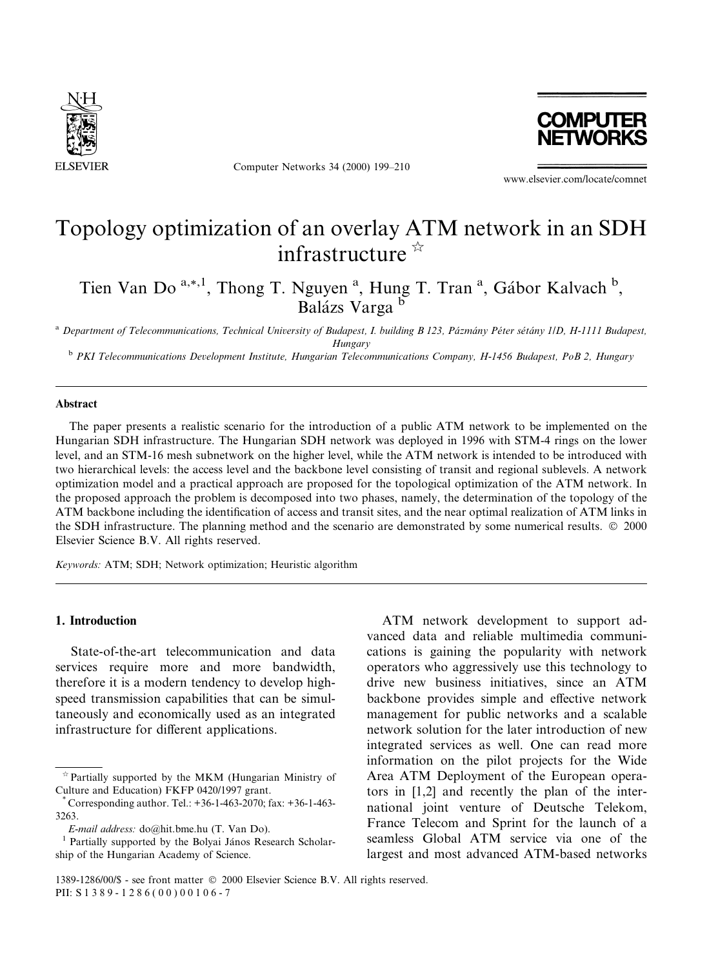

Computer Networks 34 (2000) 199-210



www.elsevier.com/locate/comnet

# Topology optimization of an overlay ATM network in an SDH infrastructure  $\mathbb{R}$

Tien Van Do<sup>a,\*,1</sup>, Thong T. Nguyen<sup>a</sup>, Hung T. Tran<sup>a</sup>, Gábor Kalvach<sup>b</sup>, Balázs Varga b

<sup>a</sup> Department of Telecommunications, Technical University of Budapest, I. building B 123, Pázmány Péter sétány 1/D, H-1111 Budapest,

Hungary<br><sup>b</sup> PKI Telecommunications Development Institute, Hungarian Telecommunications Company, H-1456 Budapest, PoB 2, Hungary

## Abstract

The paper presents a realistic scenario for the introduction of a public ATM network to be implemented on the Hungarian SDH infrastructure. The Hungarian SDH network was deployed in 1996 with STM-4 rings on the lower level, and an STM-16 mesh subnetwork on the higher level, while the ATM network is intended to be introduced with two hierarchical levels: the access level and the backbone level consisting of transit and regional sublevels. A network optimization model and a practical approach are proposed for the topological optimization of the ATM network. In the proposed approach the problem is decomposed into two phases, namely, the determination of the topology of the ATM backbone including the identification of access and transit sites, and the near optimal realization of ATM links in the SDH infrastructure. The planning method and the scenario are demonstrated by some numerical results. © 2000 Elsevier Science B.V. All rights reserved.

Keywords: ATM; SDH; Network optimization; Heuristic algorithm

## 1. Introduction

State-of-the-art telecommunication and data services require more and more bandwidth, therefore it is a modern tendency to develop highspeed transmission capabilities that can be simultaneously and economically used as an integrated infrastructure for different applications.

ATM network development to support advanced data and reliable multimedia communications is gaining the popularity with network operators who aggressively use this technology to drive new business initiatives, since an ATM backbone provides simple and effective network management for public networks and a scalable network solution for the later introduction of new integrated services as well. One can read more information on the pilot projects for the Wide Area ATM Deployment of the European operators in [1,2] and recently the plan of the international joint venture of Deutsche Telekom, France Telecom and Sprint for the launch of a seamless Global ATM service via one of the largest and most advanced ATM-based networks

 $\hat{z}$  Partially supported by the MKM (Hungarian Ministry of Culture and Education) FKFP 0420/1997 grant.

<sup>\*</sup> Corresponding author. Tel.: +36-1-463-2070; fax: +36-1-463- 3263.

E-mail address: do@hit.bme.hu (T. Van Do).<br><sup>1</sup> Partially supported by the Bolyai János Research Scholarship of the Hungarian Academy of Science.

<sup>1389-1286/00/\$ -</sup> see front matter © 2000 Elsevier Science B.V. All rights reserved. PII: S 1 3 8 9 - 1 2 8 6 ( 0 0 ) 0 0 1 0 6 - 7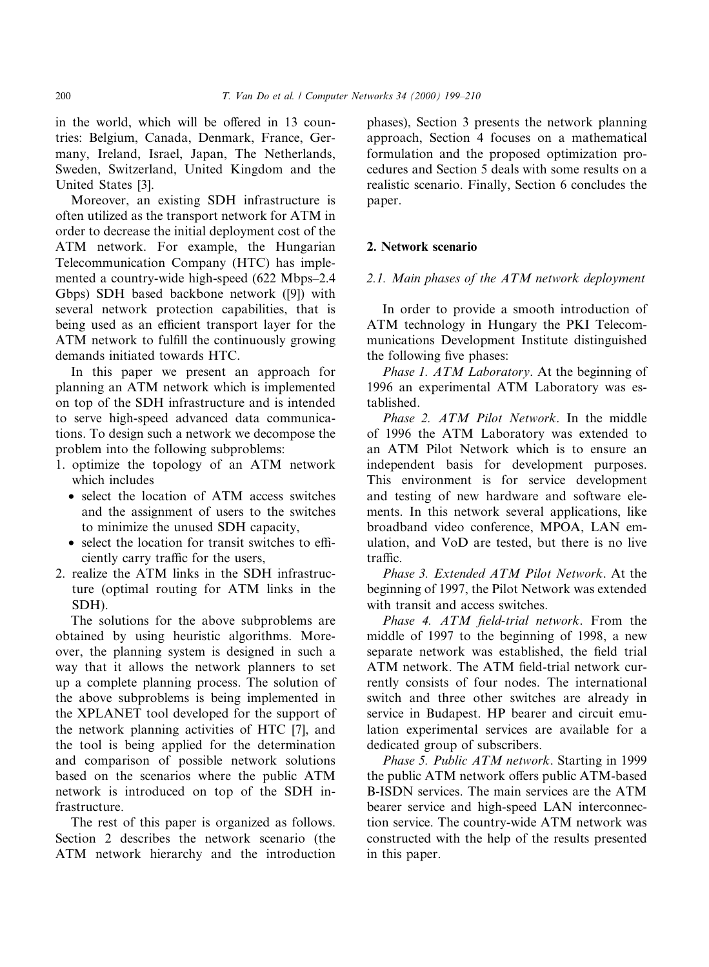in the world, which will be offered in 13 countries: Belgium, Canada, Denmark, France, Germany, Ireland, Israel, Japan, The Netherlands, Sweden, Switzerland, United Kingdom and the United States [3].

Moreover, an existing SDH infrastructure is often utilized as the transport network for ATM in order to decrease the initial deployment cost of the ATM network. For example, the Hungarian Telecommunication Company (HTC) has implemented a country-wide high-speed (622 Mbps-2.4) Gbps) SDH based backbone network ([9]) with several network protection capabilities, that is being used as an efficient transport layer for the ATM network to fulfill the continuously growing demands initiated towards HTC.

In this paper we present an approach for planning an ATM network which is implemented on top of the SDH infrastructure and is intended to serve high-speed advanced data communications. To design such a network we decompose the problem into the following subproblems:

- 1. optimize the topology of an ATM network which includes
	- · select the location of ATM access switches and the assignment of users to the switches to minimize the unused SDH capacity,
	- $\bullet$  select the location for transit switches to efficiently carry traffic for the users.
- 2. realize the ATM links in the SDH infrastructure (optimal routing for ATM links in the SDH).

The solutions for the above subproblems are obtained by using heuristic algorithms. Moreover, the planning system is designed in such a way that it allows the network planners to set up a complete planning process. The solution of the above subproblems is being implemented in the XPLANET tool developed for the support of the network planning activities of HTC [7], and the tool is being applied for the determination and comparison of possible network solutions based on the scenarios where the public ATM network is introduced on top of the SDH infrastructure.

The rest of this paper is organized as follows. Section 2 describes the network scenario (the ATM network hierarchy and the introduction phases), Section 3 presents the network planning approach, Section 4 focuses on a mathematical formulation and the proposed optimization procedures and Section 5 deals with some results on a realistic scenario. Finally, Section 6 concludes the paper.

## 2. Network scenario

## 2.1. Main phases of the ATM network deployment

In order to provide a smooth introduction of ATM technology in Hungary the PKI Telecommunications Development Institute distinguished the following five phases:

Phase 1. ATM Laboratory. At the beginning of 1996 an experimental ATM Laboratory was established.

Phase 2. ATM Pilot Network. In the middle of 1996 the ATM Laboratory was extended to an ATM Pilot Network which is to ensure an independent basis for development purposes. This environment is for service development and testing of new hardware and software elements. In this network several applications, like broadband video conference, MPOA, LAN emulation, and VoD are tested, but there is no live  $traffic.$ 

Phase 3. Extended ATM Pilot Network. At the beginning of 1997, the Pilot Network was extended with transit and access switches.

Phase 4.  $ATM$  field-trial network. From the middle of 1997 to the beginning of 1998, a new separate network was established, the field trial ATM network. The ATM field-trial network currently consists of four nodes. The international switch and three other switches are already in service in Budapest. HP bearer and circuit emulation experimental services are available for a dedicated group of subscribers.

Phase 5. Public ATM network. Starting in 1999 the public ATM network offers public ATM-based B-ISDN services. The main services are the ATM bearer service and high-speed LAN interconnection service. The country-wide ATM network was constructed with the help of the results presented in this paper.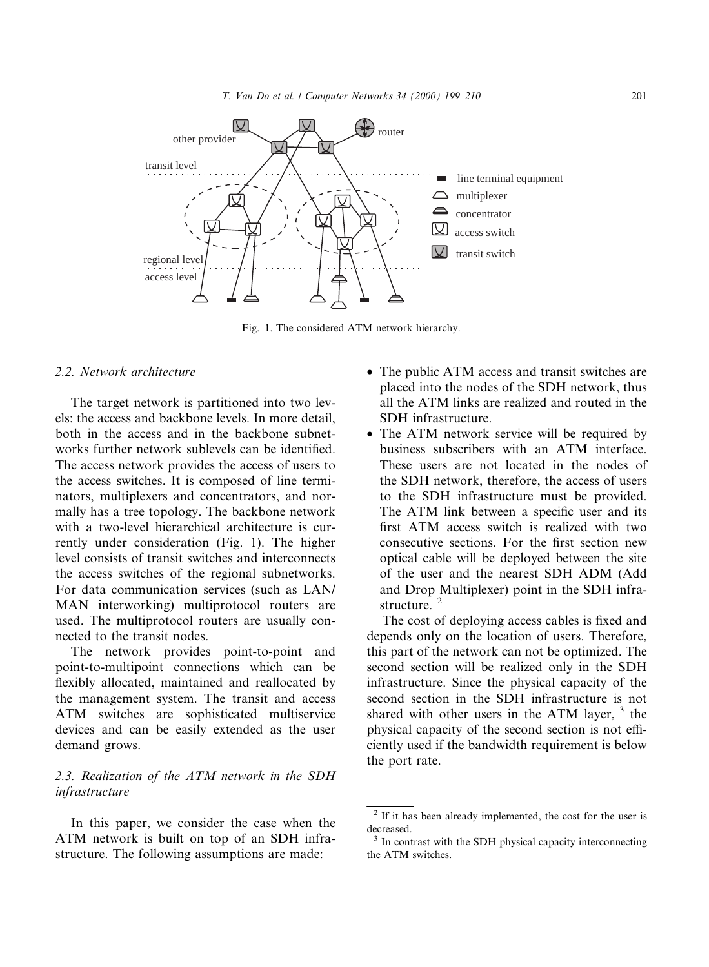

Fig. 1. The considered ATM network hierarchy.

## 2.2. Network architecture

The target network is partitioned into two levels: the access and backbone levels. In more detail, both in the access and in the backbone subnetworks further network sublevels can be identified. The access network provides the access of users to the access switches. It is composed of line terminators, multiplexers and concentrators, and normally has a tree topology. The backbone network with a two-level hierarchical architecture is currently under consideration (Fig. 1). The higher level consists of transit switches and interconnects the access switches of the regional subnetworks. For data communication services (such as LAN/ MAN interworking) multiprotocol routers are used. The multiprotocol routers are usually connected to the transit nodes.

The network provides point-to-point and point-to-multipoint connections which can be flexibly allocated, maintained and reallocated by the management system. The transit and access ATM switches are sophisticated multiservice devices and can be easily extended as the user demand grows.

# 2.3. Realization of the ATM network in the SDH infrastructure

In this paper, we consider the case when the ATM network is built on top of an SDH infrastructure. The following assumptions are made:

- · The public ATM access and transit switches are placed into the nodes of the SDH network, thus all the ATM links are realized and routed in the SDH infrastructure.
- The ATM network service will be required by business subscribers with an ATM interface. These users are not located in the nodes of the SDH network, therefore, the access of users to the SDH infrastructure must be provided. The ATM link between a specific user and its first ATM access switch is realized with two consecutive sections. For the first section new optical cable will be deployed between the site of the user and the nearest SDH ADM (Add and Drop Multiplexer) point in the SDH infrastructure.<sup>2</sup>

The cost of deploying access cables is fixed and depends only on the location of users. Therefore, this part of the network can not be optimized. The second section will be realized only in the SDH infrastructure. Since the physical capacity of the second section in the SDH infrastructure is not shared with other users in the ATM layer,  $3$  the physical capacity of the second section is not efficiently used if the bandwidth requirement is below the port rate.

<sup>&</sup>lt;sup>2</sup> If it has been already implemented, the cost for the user is decreased.

<sup>&</sup>lt;sup>3</sup> In contrast with the SDH physical capacity interconnecting the ATM switches.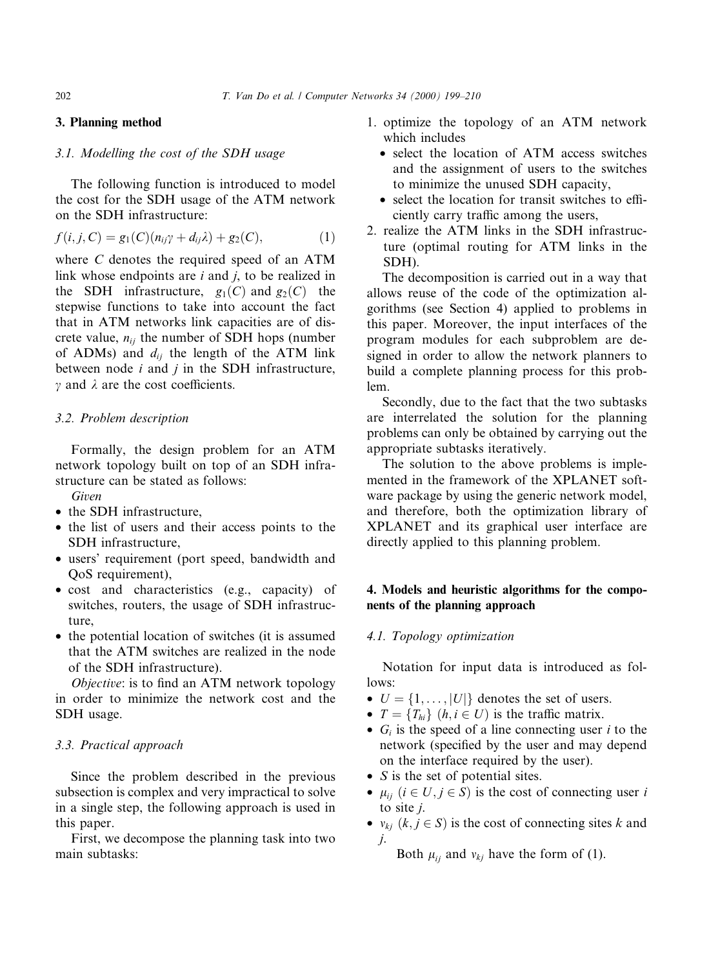## 3. Planning method

## 3.1. Modelling the cost of the SDH usage

The following function is introduced to model the cost for the SDH usage of the ATM network on the SDH infrastructure:

$$
f(i,j,C) = g_1(C)(n_{ij}\gamma + d_{ij}\lambda) + g_2(C), \qquad (1)
$$

where C denotes the required speed of an ATM link whose endpoints are  $i$  and  $j$ , to be realized in the SDH infrastructure,  $g_1(C)$  and  $g_2(C)$  the stepwise functions to take into account the fact that in ATM networks link capacities are of discrete value,  $n_{ij}$  the number of SDH hops (number of ADMs) and  $d_{ij}$  the length of the ATM link between node  $i$  and  $j$  in the SDH infrastructure,  $\gamma$  and  $\lambda$  are the cost coefficients.

## 3.2. Problem description

Formally, the design problem for an ATM network topology built on top of an SDH infrastructure can be stated as follows:

Given

- the SDH infrastructure,
- the list of users and their access points to the SDH infrastructure,
- · users' requirement (port speed, bandwidth and QoS requirement),
- · cost and characteristics (e.g., capacity) of switches, routers, the usage of SDH infrastructure,
- the potential location of switches (it is assumed that the ATM switches are realized in the node of the SDH infrastructure).

 $Objective$ : is to find an ATM network topology in order to minimize the network cost and the SDH usage.

## 3.3. Practical approach

Since the problem described in the previous subsection is complex and very impractical to solve in a single step, the following approach is used in this paper.

First, we decompose the planning task into two main subtasks:

- 1. optimize the topology of an ATM network which includes
	- select the location of ATM access switches and the assignment of users to the switches to minimize the unused SDH capacity,
	- $\bullet$  select the location for transit switches to efficiently carry traffic among the users,
- 2. realize the ATM links in the SDH infrastructure (optimal routing for ATM links in the SDH).

The decomposition is carried out in a way that allows reuse of the code of the optimization algorithms (see Section 4) applied to problems in this paper. Moreover, the input interfaces of the program modules for each subproblem are designed in order to allow the network planners to build a complete planning process for this problem.

Secondly, due to the fact that the two subtasks are interrelated the solution for the planning problems can only be obtained by carrying out the appropriate subtasks iteratively.

The solution to the above problems is implemented in the framework of the XPLANET software package by using the generic network model, and therefore, both the optimization library of XPLANET and its graphical user interface are directly applied to this planning problem.

## 4. Models and heuristic algorithms for the components of the planning approach

#### 4.1. Topology optimization

Notation for input data is introduced as follows:

- $U = \{1, \ldots, |U|\}$  denotes the set of users.
- $T = \{T_{hi}\}\ (h, i \in U)$  is the traffic matrix.
- $G_i$  is the speed of a line connecting user i to the network (specified by the user and may depend on the interface required by the user).
- *S* is the set of potential sites.
- $\mu_{ij}$   $(i \in U, j \in S)$  is the cost of connecting user i to site j.
- $v_{ki}$   $(k, j \in S)$  is the cost of connecting sites k and j.

Both  $\mu_{ij}$  and  $\nu_{kj}$  have the form of (1).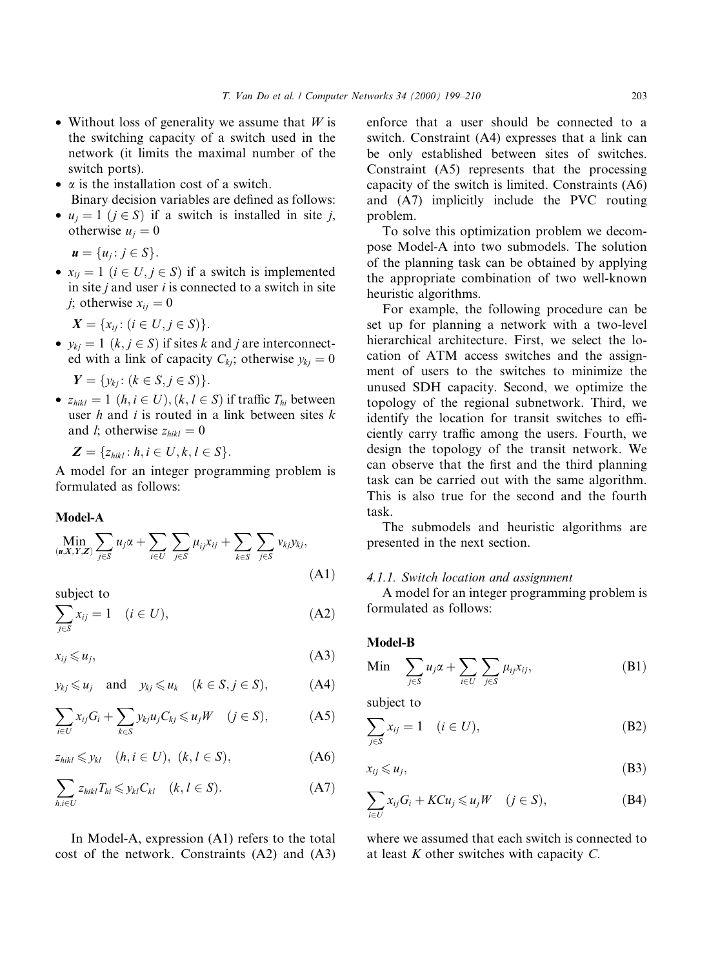- Without loss of generality we assume that  $W$  is the switching capacity of a switch used in the network (it limits the maximal number of the switch ports).
- $\alpha$  is the installation cost of a switch. Binary decision variables are defined as follows:
- $u_i = 1$   $(i \in S)$  if a switch is installed in site j, otherwise  $u_i = 0$

 $u = \{u_j : j \in S\}.$ 

•  $x_{ij} = 1$   $(i \in U, j \in S)$  if a switch is implemented in site  $j$  and user  $i$  is connected to a switch in site j; otherwise  $x_{ij} = 0$ 

$$
X = \{x_{ij} \colon (i \in U, j \in S)\}.
$$

•  $y_{kj} = 1$   $(k, j \in S)$  if sites k and j are interconnected with a link of capacity  $C_{ki}$ ; otherwise  $y_{ki} = 0$ 

$$
\mathbf{Y} = \{y_{kj} : (k \in S, j \in S)\}.
$$

•  $z_{hikl} = 1$   $(h, i \in U), (k, l \in S)$  if traffic  $T_{hi}$  between user  $h$  and  $i$  is routed in a link between sites  $k$ and *l*; otherwise  $z_{hikl} = 0$ 

 $\mathbf{Z} = \{z_{hikl} : h, i \in U, k, l \in S\}.$ 

A model for an integer programming problem is formulated as follows:

## Model-A

$$
\min_{(u,X,Y,Z)} \sum_{j \in S} u_j \alpha + \sum_{i \in U} \sum_{j \in S} \mu_{ij} x_{ij} + \sum_{k \in S} \sum_{j \in S} v_{kj} y_{kj},
$$
\n(A1)

subject to

$$
\sum_{j\in S} x_{ij} = 1 \quad (i \in U), \tag{A2}
$$

$$
x_{ij} \leqslant u_j,\tag{A3}
$$

$$
y_{kj} \leq u_j
$$
 and  $y_{kj} \leq u_k$   $(k \in S, j \in S),$  (A4)

$$
\sum_{i\in U} x_{ij} G_i + \sum_{k\in S} y_{kj} u_j C_{kj} \leq u_j W \quad (j \in S), \tag{A5}
$$

$$
z_{\text{hikl}} \leq y_{\text{kl}} \quad (h, i \in U), \ (k, l \in S), \tag{A6}
$$

$$
\sum_{h,i\in U} z_{hikl} T_{hi} \leqslant y_{kl} C_{kl} \quad (k, l \in S).
$$
 (A7)

In Model-A, expression (A1) refers to the total cost of the network. Constraints (A2) and (A3) enforce that a user should be connected to a switch. Constraint (A4) expresses that a link can be only established between sites of switches. Constraint (A5) represents that the processing capacity of the switch is limited. Constraints (A6) and (A7) implicitly include the PVC routing problem.

To solve this optimization problem we decompose Model-A into two submodels. The solution of the planning task can be obtained by applying the appropriate combination of two well-known heuristic algorithms.

For example, the following procedure can be set up for planning a network with a two-level hierarchical architecture. First, we select the location of ATM access switches and the assignment of users to the switches to minimize the unused SDH capacity. Second, we optimize the topology of the regional subnetwork. Third, we identify the location for transit switches to efficiently carry traffic among the users. Fourth, we design the topology of the transit network. We can observe that the first and the third planning task can be carried out with the same algorithm. This is also true for the second and the fourth task.

The submodels and heuristic algorithms are presented in the next section.

#### 4.1.1. Switch location and assignment

A model for an integer programming problem is formulated as follows:

## Model-B

$$
\text{Min} \quad \sum_{j \in S} u_j \alpha + \sum_{i \in U} \sum_{j \in S} \mu_{ij} x_{ij}, \tag{B1}
$$

subject to

$$
\sum_{j\in S} x_{ij} = 1 \quad (i \in U), \tag{B2}
$$

$$
x_{ij} \leqslant u_j,\tag{B3}
$$

$$
\sum_{i \in U} x_{ij} G_i + K C u_j \leqslant u_j W \quad (j \in S), \tag{B4}
$$

where we assumed that each switch is connected to at least  $K$  other switches with capacity  $C$ .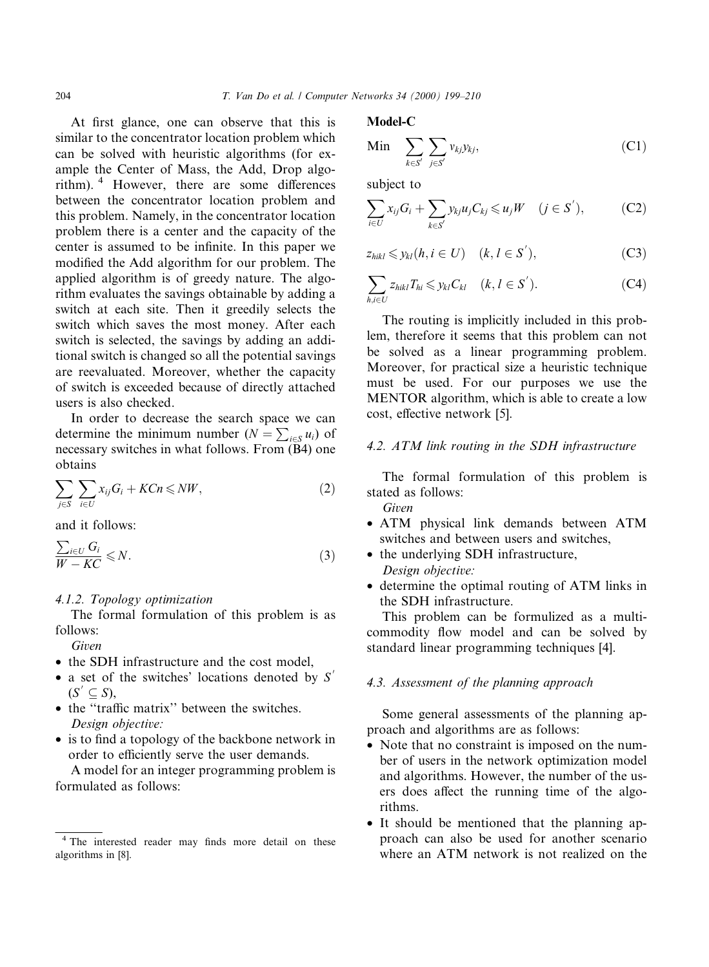At first glance, one can observe that this is similar to the concentrator location problem which can be solved with heuristic algorithms (for example the Center of Mass, the Add, Drop algorithm).  $4$  However, there are some differences between the concentrator location problem and this problem. Namely, in the concentrator location problem there is a center and the capacity of the center is assumed to be infinite. In this paper we modified the Add algorithm for our problem. The applied algorithm is of greedy nature. The algorithm evaluates the savings obtainable by adding a switch at each site. Then it greedily selects the switch which saves the most money. After each switch is selected, the savings by adding an additional switch is changed so all the potential savings are reevaluated. Moreover, whether the capacity of switch is exceeded because of directly attached users is also checked.

In order to decrease the search space we can determine the minimum number  $(N = \sum_{i \in S} u_i)$  of necessary switches in what follows. From (B4) one obtains

$$
\sum_{j\in S}\sum_{i\in U}x_{ij}G_i + K C n \leqslant N W,
$$
\n(2)

and it follows:

$$
\frac{\sum_{i\in U} G_i}{W - KC} \leq N.
$$
\n(3)

## 4.1.2. Topology optimization

The formal formulation of this problem is as follows:

Given

- the SDH infrastructure and the cost model.
- a set of the switches' locations denoted by  $S'$  $(S' \subseteq S),$
- the "traffic matrix" between the switches. Design objective:
- $\bullet$  is to find a topology of the backbone network in order to efficiently serve the user demands.

A model for an integer programming problem is formulated as follows:

Model-C

$$
\text{Min} \quad \sum_{k \in S'} \sum_{j \in S'} v_{kj} y_{kj}, \tag{C1}
$$

subject to

$$
\sum_{i\in U} x_{ij} G_i + \sum_{k\in S'} y_{kj} u_j C_{kj} \leqslant u_j W \quad (j \in S'), \tag{C2}
$$

$$
z_{hikl} \leqslant y_{kl}(h, i \in U) \quad (k, l \in S'), \tag{C3}
$$

$$
\sum_{h,i\in U} z_{hikl} T_{hi} \leqslant y_{kl} C_{kl} \quad (k, l \in S'). \tag{C4}
$$

The routing is implicitly included in this problem, therefore it seems that this problem can not be solved as a linear programming problem. Moreover, for practical size a heuristic technique must be used. For our purposes we use the MENTOR algorithm, which is able to create a low cost, effective network [5].

## 4.2. ATM link routing in the SDH infrastructure

The formal formulation of this problem is stated as follows: Given

- · ATM physical link demands between ATM switches and between users and switches,
- the underlying SDH infrastructure, Design objective:
- · determine the optimal routing of ATM links in the SDH infrastructure.

This problem can be formulized as a multicommodity flow model and can be solved by standard linear programming techniques [4].

## 4.3. Assessment of the planning approach

Some general assessments of the planning approach and algorithms are as follows:

- Note that no constraint is imposed on the number of users in the network optimization model and algorithms. However, the number of the users does affect the running time of the algorithms.
- · It should be mentioned that the planning approach can also be used for another scenario where an ATM network is not realized on the

<sup>&</sup>lt;sup>4</sup> The interested reader may finds more detail on these algorithms in [8].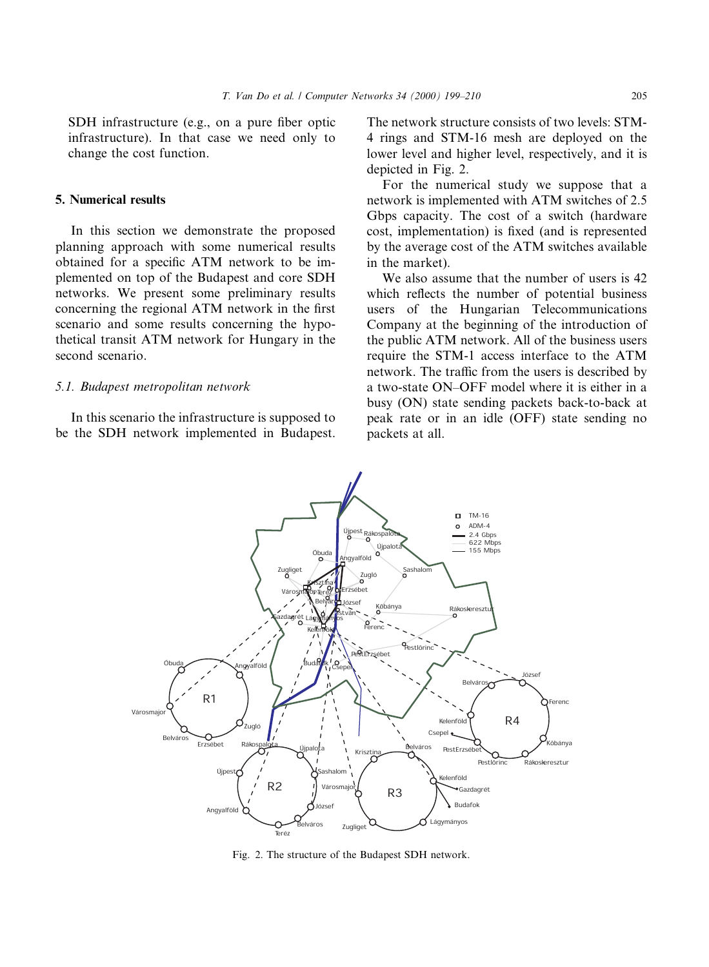SDH infrastructure (e.g., on a pure fiber optic infrastructure). In that case we need only to change the cost function.

#### 5. Numerical results

In this section we demonstrate the proposed planning approach with some numerical results obtained for a specific ATM network to be implemented on top of the Budapest and core SDH networks. We present some preliminary results concerning the regional ATM network in the first scenario and some results concerning the hypothetical transit ATM network for Hungary in the second scenario.

#### 5.1. Budapest metropolitan network

In this scenario the infrastructure is supposed to be the SDH network implemented in Budapest. The network structure consists of two levels: STM-4 rings and STM-16 mesh are deployed on the lower level and higher level, respectively, and it is depicted in Fig. 2.

For the numerical study we suppose that a network is implemented with ATM switches of 2.5 Gbps capacity. The cost of a switch (hardware cost, implementation) is fixed (and is represented by the average cost of the ATM switches available in the market).

We also assume that the number of users is 42 which reflects the number of potential business users of the Hungarian Telecommunications Company at the beginning of the introduction of the public ATM network. All of the business users require the STM-1 access interface to the ATM network. The traffic from the users is described by a two-state ON-OFF model where it is either in a busy (ON) state sending packets back-to-back at peak rate or in an idle (OFF) state sending no packets at all.



Fig. 2. The structure of the Budapest SDH network.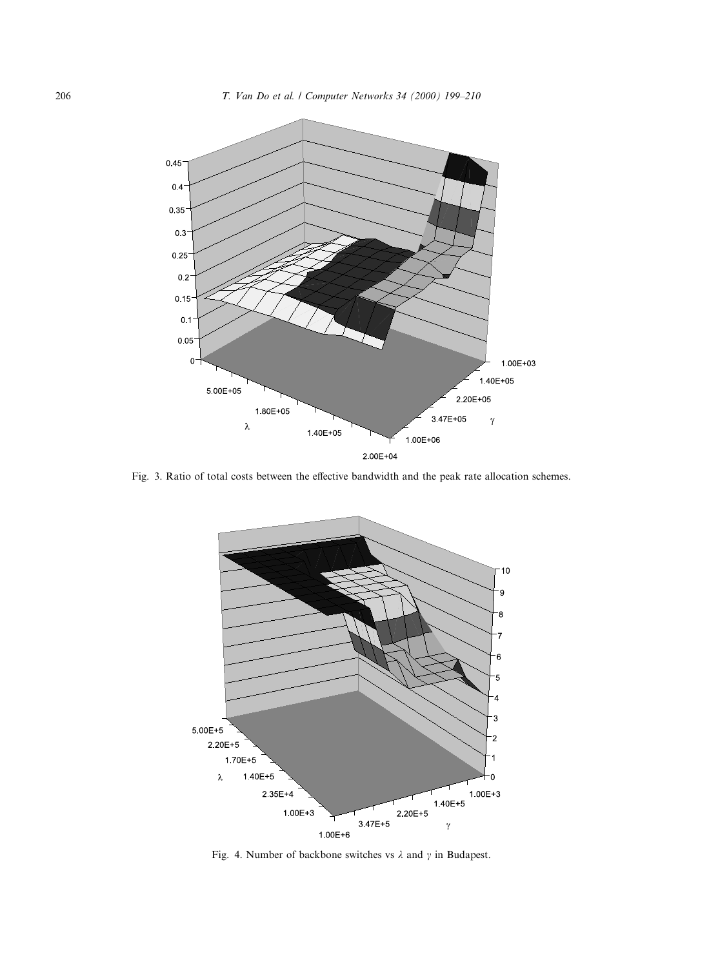

Fig. 3. Ratio of total costs between the effective bandwidth and the peak rate allocation schemes.



Fig. 4. Number of backbone switches vs  $\lambda$  and  $\gamma$  in Budapest.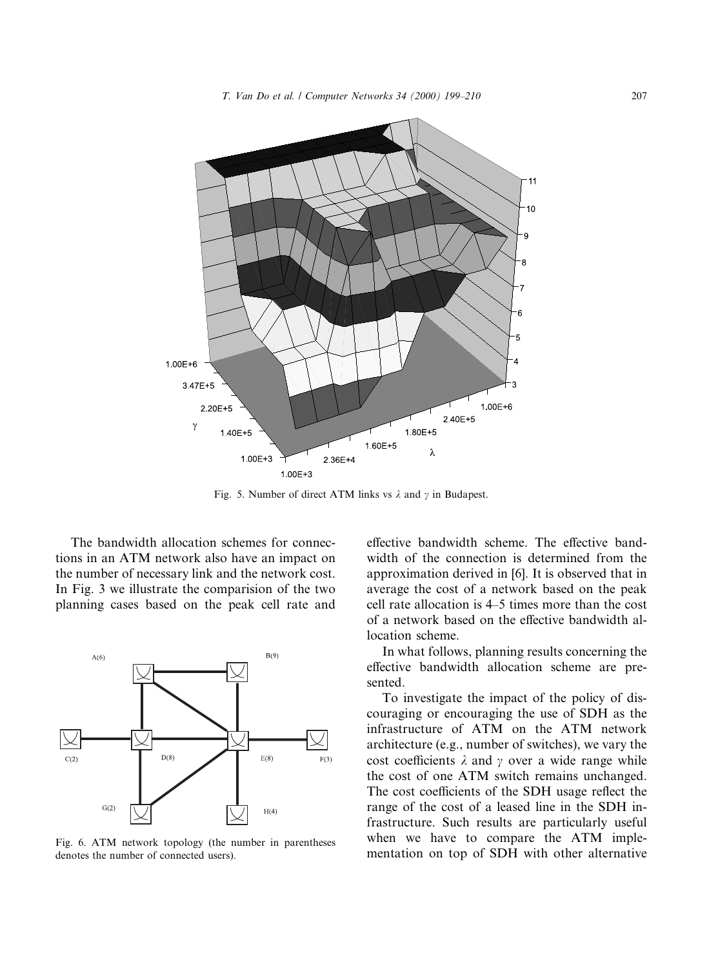

Fig. 5. Number of direct ATM links vs  $\lambda$  and  $\gamma$  in Budapest.

The bandwidth allocation schemes for connections in an ATM network also have an impact on the number of necessary link and the network cost. In Fig. 3 we illustrate the comparision of the two planning cases based on the peak cell rate and



Fig. 6. ATM network topology (the number in parentheses denotes the number of connected users).

effective bandwidth scheme. The effective bandwidth of the connection is determined from the approximation derived in [6]. It is observed that in average the cost of a network based on the peak cell rate allocation is 4–5 times more than the cost of a network based on the effective bandwidth allocation scheme.

In what follows, planning results concerning the effective bandwidth allocation scheme are presented.

To investigate the impact of the policy of discouraging or encouraging the use of SDH as the infrastructure of ATM on the ATM network architecture (e.g., number of switches), we vary the cost coefficients  $\lambda$  and  $\gamma$  over a wide range while the cost of one ATM switch remains unchanged. The cost coefficients of the SDH usage reflect the range of the cost of a leased line in the SDH infrastructure. Such results are particularly useful when we have to compare the ATM implementation on top of SDH with other alternative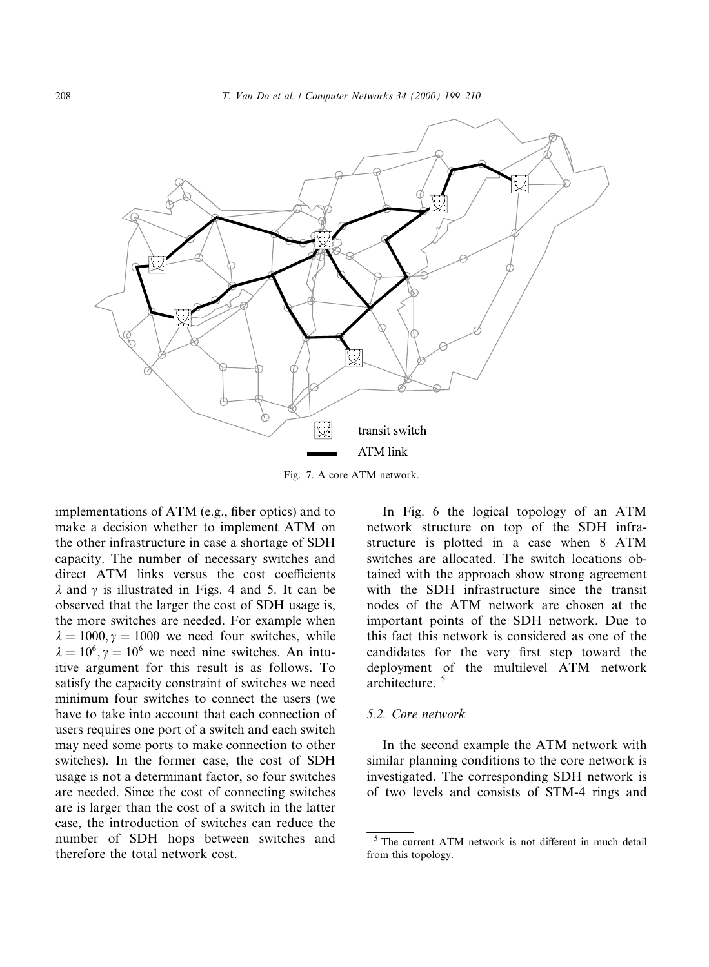

Fig. 7. A core ATM network.

implementations of  $ATM$  (e.g., fiber optics) and to make a decision whether to implement ATM on the other infrastructure in case a shortage of SDH capacity. The number of necessary switches and direct ATM links versus the cost coefficients  $\lambda$  and  $\gamma$  is illustrated in Figs. 4 and 5. It can be observed that the larger the cost of SDH usage is, the more switches are needed. For example when  $\lambda = 1000, \gamma = 1000$  we need four switches, while  $\lambda = 10^6$ ,  $\gamma = 10^6$  we need nine switches. An intuitive argument for this result is as follows. To satisfy the capacity constraint of switches we need minimum four switches to connect the users (we have to take into account that each connection of users requires one port of a switch and each switch may need some ports to make connection to other switches). In the former case, the cost of SDH usage is not a determinant factor, so four switches are needed. Since the cost of connecting switches are is larger than the cost of a switch in the latter case, the introduction of switches can reduce the number of SDH hops between switches and therefore the total network cost.

In Fig. 6 the logical topology of an ATM network structure on top of the SDH infrastructure is plotted in a case when 8 ATM switches are allocated. The switch locations obtained with the approach show strong agreement with the SDH infrastructure since the transit nodes of the ATM network are chosen at the important points of the SDH network. Due to this fact this network is considered as one of the candidates for the very first step toward the deployment of the multilevel ATM network architecture. <sup>5</sup>

## 5.2. Core network

In the second example the ATM network with similar planning conditions to the core network is investigated. The corresponding SDH network is of two levels and consists of STM-4 rings and

 $5$  The current ATM network is not different in much detail from this topology.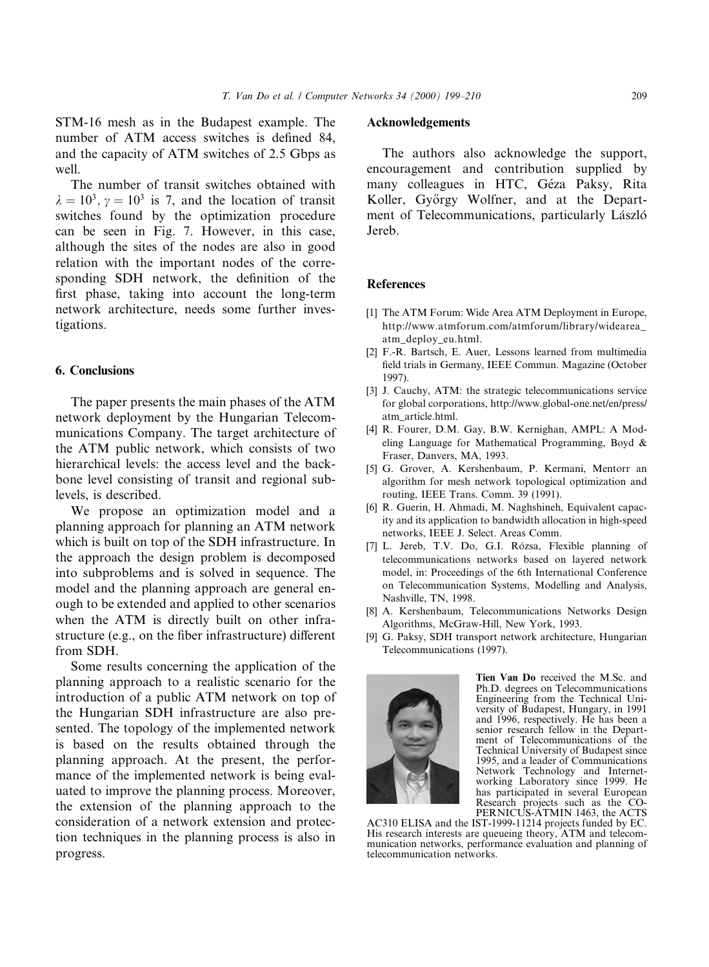STM-16 mesh as in the Budapest example. The number of ATM access switches is defined 84. and the capacity of ATM switches of 2.5 Gbps as well.

The number of transit switches obtained with  $\lambda = 10^3$ ,  $\gamma = 10^3$  is 7, and the location of transit switches found by the optimization procedure can be seen in Fig. 7. However, in this case, although the sites of the nodes are also in good relation with the important nodes of the corresponding SDH network, the definition of the first phase, taking into account the long-term network architecture, needs some further investigations.

#### 6. Conclusions

The paper presents the main phases of the ATM network deployment by the Hungarian Telecommunications Company. The target architecture of the ATM public network, which consists of two hierarchical levels: the access level and the backbone level consisting of transit and regional sublevels, is described.

We propose an optimization model and a planning approach for planning an ATM network which is built on top of the SDH infrastructure. In the approach the design problem is decomposed into subproblems and is solved in sequence. The model and the planning approach are general enough to be extended and applied to other scenarios when the ATM is directly built on other infrastructure (e.g., on the fiber infrastructure) different from SDH.

Some results concerning the application of the planning approach to a realistic scenario for the introduction of a public ATM network on top of the Hungarian SDH infrastructure are also presented. The topology of the implemented network is based on the results obtained through the planning approach. At the present, the performance of the implemented network is being evaluated to improve the planning process. Moreover, the extension of the planning approach to the consideration of a network extension and protection techniques in the planning process is also in progress.

## Acknowledgements

The authors also acknowledge the support, encouragement and contribution supplied by many colleagues in HTC, Géza Paksy, Rita Koller, Győrgy Wolfner, and at the Department of Telecommunications, particularly László Jereb.

## **References**

- [1] The ATM Forum: Wide Area ATM Deployment in Europe, http://www.atmforum.com/atmforum/library/widearea\_ atm\_deploy\_eu.html.
- [2] F.-R. Bartsch, E. Auer, Lessons learned from multimedia field trials in Germany, IEEE Commun. Magazine (October 1997).
- [3] J. Cauchy, ATM: the strategic telecommunications service for global corporations, http://www.global-one.net/en/press/ atm\_article.html.
- [4] R. Fourer, D.M. Gay, B.W. Kernighan, AMPL: A Modeling Language for Mathematical Programming, Boyd & Fraser, Danvers, MA, 1993.
- [5] G. Grover, A. Kershenbaum, P. Kermani, Mentorr an algorithm for mesh network topological optimization and routing, IEEE Trans. Comm. 39 (1991).
- [6] R. Guerin, H. Ahmadi, M. Naghshineh, Equivalent capacity and its application to bandwidth allocation in high-speed networks, IEEE J. Select. Areas Comm.
- [7] L. Jereb, T.V. Do, G.I. Rózsa, Flexible planning of telecommunications networks based on layered network model, in: Proceedings of the 6th International Conference on Telecommunication Systems, Modelling and Analysis, Nashville, TN, 1998.
- [8] A. Kershenbaum, Telecommunications Networks Design Algorithms, McGraw-Hill, New York, 1993.
- [9] G. Paksy, SDH transport network architecture, Hungarian Telecommunications (1997).



Tien Van Do received the M.Sc. and Ph.D. degrees on Telecommunications Engineering from the Technical University of Budapest, Hungary, in 1991 and 1996, respectively. He has been a senior research fellow in the Department of Telecommunications of the Technical University of Budapest since 1995, and a leader of Communications Network Technology and Internetworking Laboratory since 1999. He has participated in several European

Research projects such as the CO-<br>PERNICUS-ATMIN 1463, the ACTS<br>AC310 ELISA and the IST-1999-11214 projects funded by EC. His research interests are queueing theory, ATM and telecommunication networks, performance evaluation and planning of telecommunication networks.